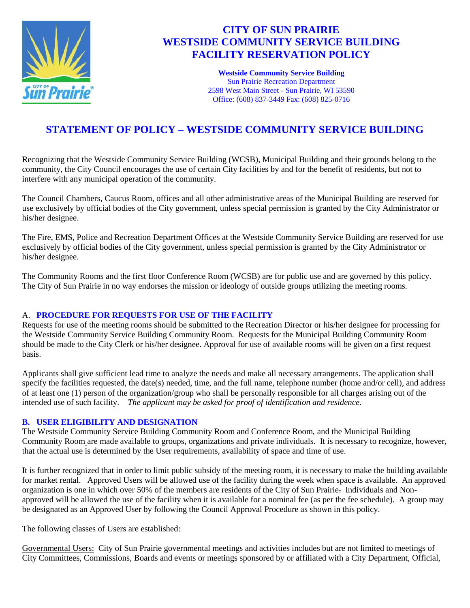

# **CITY OF SUN PRAIRIE WESTSIDE COMMUNITY SERVICE BUILDING FACILITY RESERVATION POLICY**

**Westside Community Service Building** Sun Prairie Recreation Department 2598 West Main Street - Sun Prairie, WI 53590 Office: (608) 837-3449 Fax: (608) 825-0716

# **STATEMENT OF POLICY – WESTSIDE COMMUNITY SERVICE BUILDING**

Recognizing that the Westside Community Service Building (WCSB), Municipal Building and their grounds belong to the community, the City Council encourages the use of certain City facilities by and for the benefit of residents, but not to interfere with any municipal operation of the community.

The Council Chambers, Caucus Room, offices and all other administrative areas of the Municipal Building are reserved for use exclusively by official bodies of the City government, unless special permission is granted by the City Administrator or his/her designee.

The Fire, EMS, Police and Recreation Department Offices at the Westside Community Service Building are reserved for use exclusively by official bodies of the City government, unless special permission is granted by the City Administrator or his/her designee.

The Community Rooms and the first floor Conference Room (WCSB) are for public use and are governed by this policy. The City of Sun Prairie in no way endorses the mission or ideology of outside groups utilizing the meeting rooms.

# A. **PROCEDURE FOR REQUESTS FOR USE OF THE FACILITY**

Requests for use of the meeting rooms should be submitted to the Recreation Director or his/her designee for processing for the Westside Community Service Building Community Room. Requests for the Municipal Building Community Room should be made to the City Clerk or his/her designee. Approval for use of available rooms will be given on a first request basis.

Applicants shall give sufficient lead time to analyze the needs and make all necessary arrangements. The application shall specify the facilities requested, the date(s) needed, time, and the full name, telephone number (home and/or cell), and address of at least one (1) person of the organization/group who shall be personally responsible for all charges arising out of the intended use of such facility. *The applicant may be asked for proof of identification and residence.*

# **B. USER ELIGIBILITY AND DESIGNATION**

The Westside Community Service Building Community Room and Conference Room, and the Municipal Building Community Room are made available to groups, organizations and private individuals. It is necessary to recognize, however, that the actual use is determined by the User requirements, availability of space and time of use.

It is further recognized that in order to limit public subsidy of the meeting room, it is necessary to make the building available for market rental. Approved Users will be allowed use of the facility during the week when space is available. An approved organization is one in which over 50% of the members are residents of the City of Sun Prairie. Individuals and Nonapproved will be allowed the use of the facility when it is available for a nominal fee (as per the fee schedule). A group may be designated as an Approved User by following the Council Approval Procedure as shown in this policy.

The following classes of Users are established:

Governmental Users: City of Sun Prairie governmental meetings and activities includes but are not limited to meetings of City Committees, Commissions, Boards and events or meetings sponsored by or affiliated with a City Department, Official,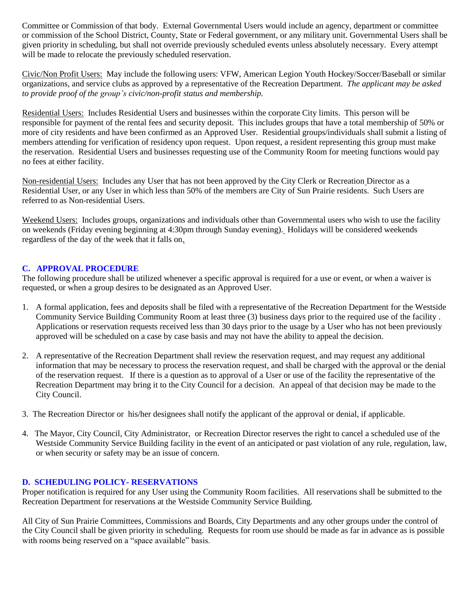Committee or Commission of that body. External Governmental Users would include an agency, department or committee or commission of the School District, County, State or Federal government, or any military unit. Governmental Users shall be given priority in scheduling, but shall not override previously scheduled events unless absolutely necessary. Every attempt will be made to relocate the previously scheduled reservation.

Civic/Non Profit Users: May include the following users: VFW, American Legion Youth Hockey/Soccer/Baseball or similar organizations, and service clubs as approved by a representative of the Recreation Department. *The applicant may be asked to provide proof of the group's civic/non-profit status and membership.*

Residential Users: Includes Residential Users and businesses within the corporate City limits. This person will be responsible for payment of the rental fees and security deposit. This includes groups that have a total membership of 50% or more of city residents and have been confirmed as an Approved User. Residential groups/individuals shall submit a listing of members attending for verification of residency upon request. Upon request, a resident representing this group must make the reservation. Residential Users and businesses requesting use of the Community Room for meeting functions would pay no fees at either facility.

Non-residential Users: Includes any User that has not been approved by the City Clerk or Recreation Director as a Residential User, or any User in which less than 50% of the members are City of Sun Prairie residents. Such Users are referred to as Non-residential Users.

Weekend Users: Includes groups, organizations and individuals other than Governmental users who wish to use the facility on weekends (Friday evening beginning at 4:30pm through Sunday evening). Holidays will be considered weekends regardless of the day of the week that it falls on.

# **C. APPROVAL PROCEDURE**

The following procedure shall be utilized whenever a specific approval is required for a use or event, or when a waiver is requested, or when a group desires to be designated as an Approved User.

- 1. A formal application, fees and deposits shall be filed with a representative of the Recreation Department for the Westside Community Service Building Community Room at least three (3) business days prior to the required use of the facility . Applications or reservation requests received less than 30 days prior to the usage by a User who has not been previously approved will be scheduled on a case by case basis and may not have the ability to appeal the decision.
- 2. A representative of the Recreation Department shall review the reservation request, and may request any additional information that may be necessary to process the reservation request, and shall be charged with the approval or the denial of the reservation request. If there is a question as to approval of a User or use of the facility the representative of the Recreation Department may bring it to the City Council for a decision. An appeal of that decision may be made to the City Council.
- 3. The Recreation Director or his/her designees shall notify the applicant of the approval or denial, if applicable.
- 4. The Mayor, City Council, City Administrator, or Recreation Director reserves the right to cancel a scheduled use of the Westside Community Service Building facility in the event of an anticipated or past violation of any rule, regulation, law, or when security or safety may be an issue of concern.

# **D. SCHEDULING POLICY- RESERVATIONS**

Proper notification is required for any User using the Community Room facilities. All reservations shall be submitted to the Recreation Department for reservations at the Westside Community Service Building.

All City of Sun Prairie Committees, Commissions and Boards, City Departments and any other groups under the control of the City Council shall be given priority in scheduling. Requests for room use should be made as far in advance as is possible with rooms being reserved on a "space available" basis.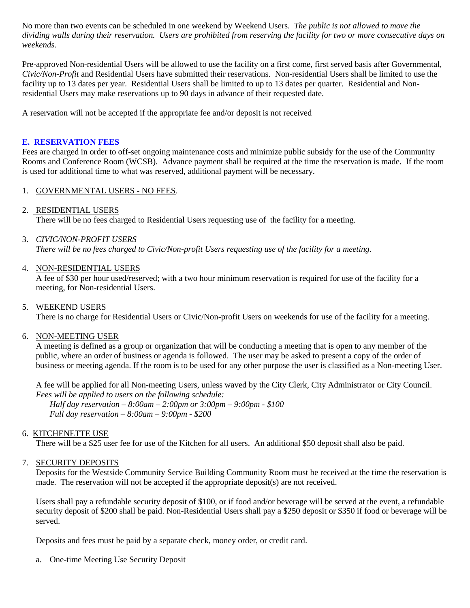No more than two events can be scheduled in one weekend by Weekend Users. *The public is not allowed to move the dividing walls during their reservation. Users are prohibited from reserving the facility for two or more consecutive days on weekends.* 

Pre-approved Non-residential Users will be allowed to use the facility on a first come, first served basis after Governmental, *Civic/Non-Profit* and Residential Users have submitted their reservations. Non-residential Users shall be limited to use the facility up to 13 dates per year. Residential Users shall be limited to up to 13 dates per quarter. Residential and Nonresidential Users may make reservations up to 90 days in advance of their requested date.

A reservation will not be accepted if the appropriate fee and/or deposit is not received

## **E. RESERVATION FEES**

Fees are charged in order to off-set ongoing maintenance costs and minimize public subsidy for the use of the Community Rooms and Conference Room (WCSB). Advance payment shall be required at the time the reservation is made. If the room is used for additional time to what was reserved, additional payment will be necessary.

## 1. GOVERNMENTAL USERS - NO FEES.

## 2. RESIDENTIAL USERS

There will be no fees charged to Residential Users requesting use of the facility for a meeting.

## 3. *CIVIC/NON-PROFIT USERS*

*There will be no fees charged to Civic/Non-profit Users requesting use of the facility for a meeting.* 

## 4. NON-RESIDENTIAL USERS

A fee of \$30 per hour used/reserved; with a two hour minimum reservation is required for use of the facility for a meeting, for Non-residential Users.

#### 5. WEEKEND USERS

There is no charge for Residential Users or Civic/Non-profit Users on weekends for use of the facility for a meeting.

#### 6. NON-MEETING USER

A meeting is defined as a group or organization that will be conducting a meeting that is open to any member of the public, where an order of business or agenda is followed. The user may be asked to present a copy of the order of business or meeting agenda. If the room is to be used for any other purpose the user is classified as a Non-meeting User.

A fee will be applied for all Non-meeting Users, unless waved by the City Clerk, City Administrator or City Council. *Fees will be applied to users on the following schedule:*

*Half day reservation – 8:00am – 2:00pm or 3:00pm – 9:00pm - \$100 Full day reservation – 8:00am – 9:00pm - \$200* 

# 6. KITCHENETTE USE

There will be a \$25 user fee for use of the Kitchen for all users. An additional \$50 deposit shall also be paid.

# 7. SECURITY DEPOSITS

Deposits for the Westside Community Service Building Community Room must be received at the time the reservation is made. The reservation will not be accepted if the appropriate deposit(s) are not received.

Users shall pay a refundable security deposit of \$100, or if food and/or beverage will be served at the event, a refundable security deposit of \$200 shall be paid. Non-Residential Users shall pay a \$250 deposit or \$350 if food or beverage will be served.

Deposits and fees must be paid by a separate check, money order, or credit card.

a. One-time Meeting Use Security Deposit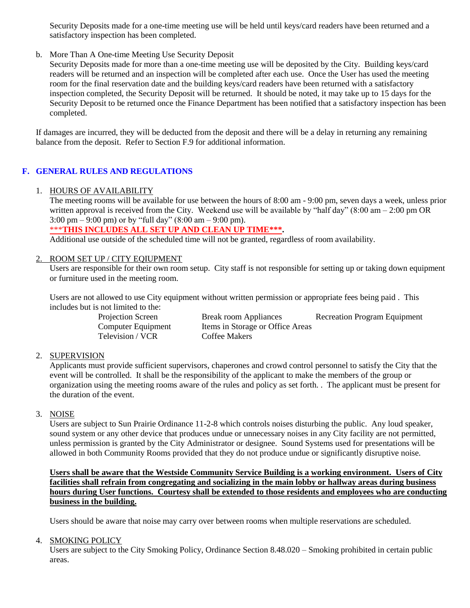Security Deposits made for a one-time meeting use will be held until keys/card readers have been returned and a satisfactory inspection has been completed.

b. More Than A One-time Meeting Use Security Deposit

Security Deposits made for more than a one-time meeting use will be deposited by the City. Building keys/card readers will be returned and an inspection will be completed after each use. Once the User has used the meeting room for the final reservation date and the building keys/card readers have been returned with a satisfactory inspection completed, the Security Deposit will be returned. It should be noted, it may take up to 15 days for the Security Deposit to be returned once the Finance Department has been notified that a satisfactory inspection has been completed.

If damages are incurred, they will be deducted from the deposit and there will be a delay in returning any remaining balance from the deposit. Refer to Section F.9 for additional information.

# **F. GENERAL RULES AND REGULATIONS**

#### 1. HOURS OF AVAILABILITY

The meeting rooms will be available for use between the hours of 8:00 am - 9:00 pm, seven days a week, unless prior written approval is received from the City. Weekend use will be available by "half day" (8:00 am – 2:00 pm OR 3:00 pm – 9:00 pm) or by "full day"  $(8:00 \text{ am} - 9:00 \text{ pm})$ .

#### \*\*\***THIS INCLUDES ALL SET UP AND CLEAN UP TIME\*\*\*.**

Additional use outside of the scheduled time will not be granted, regardless of room availability.

#### 2. ROOM SET UP / CITY EQIUPMENT

Users are responsible for their own room setup. City staff is not responsible for setting up or taking down equipment or furniture used in the meeting room.

Users are not allowed to use City equipment without written permission or appropriate fees being paid . This includes but is not limited to the:

Television / VCR Coffee Makers

Projection Screen Break room Appliances Recreation Program Equipment Computer Equipment Items in Storage or Office Areas

## 2. SUPERVISION

Applicants must provide sufficient supervisors, chaperones and crowd control personnel to satisfy the City that the event will be controlled. It shall be the responsibility of the applicant to make the members of the group or organization using the meeting rooms aware of the rules and policy as set forth. . The applicant must be present for the duration of the event.

### 3. NOISE

Users are subject to Sun Prairie Ordinance 11-2-8 which controls noises disturbing the public. Any loud speaker, sound system or any other device that produces undue or unnecessary noises in any City facility are not permitted, unless permission is granted by the City Administrator or designee. Sound Systems used for presentations will be allowed in both Community Rooms provided that they do not produce undue or significantly disruptive noise.

**Users shall be aware that the Westside Community Service Building is a working environment. Users of City facilities shall refrain from congregating and socializing in the main lobby or hallway areas during business hours during User functions. Courtesy shall be extended to those residents and employees who are conducting business in the building.** 

Users should be aware that noise may carry over between rooms when multiple reservations are scheduled.

#### 4. SMOKING POLICY

Users are subject to the City Smoking Policy, Ordinance Section 8.48.020 – Smoking prohibited in certain public areas.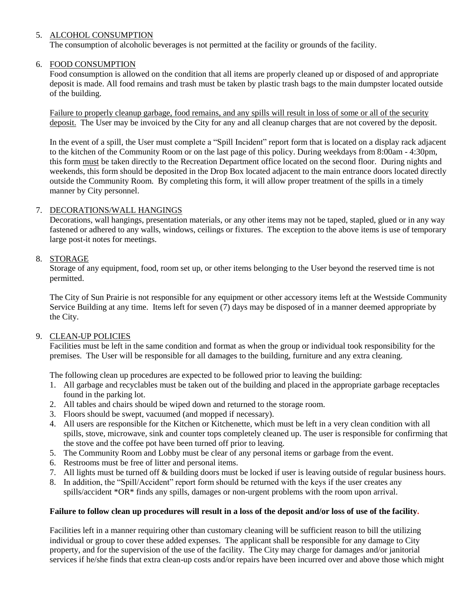# 5. ALCOHOL CONSUMPTION

The consumption of alcoholic beverages is not permitted at the facility or grounds of the facility.

# 6. FOOD CONSUMPTION

Food consumption is allowed on the condition that all items are properly cleaned up or disposed of and appropriate deposit is made. All food remains and trash must be taken by plastic trash bags to the main dumpster located outside of the building.

Failure to properly cleanup garbage, food remains, and any spills will result in loss of some or all of the security deposit. The User may be invoiced by the City for any and all cleanup charges that are not covered by the deposit.

In the event of a spill, the User must complete a "Spill Incident" report form that is located on a display rack adjacent to the kitchen of the Community Room or on the last page of this policy. During weekdays from 8:00am - 4:30pm, this form must be taken directly to the Recreation Department office located on the second floor. During nights and weekends, this form should be deposited in the Drop Box located adjacent to the main entrance doors located directly outside the Community Room. By completing this form, it will allow proper treatment of the spills in a timely manner by City personnel.

## 7. DECORATIONS/WALL HANGINGS

Decorations, wall hangings, presentation materials, or any other items may not be taped, stapled, glued or in any way fastened or adhered to any walls, windows, ceilings or fixtures. The exception to the above items is use of temporary large post-it notes for meetings.

## 8. STORAGE

Storage of any equipment, food, room set up, or other items belonging to the User beyond the reserved time is not permitted.

The City of Sun Prairie is not responsible for any equipment or other accessory items left at the Westside Community Service Building at any time. Items left for seven (7) days may be disposed of in a manner deemed appropriate by the City.

# 9. CLEAN-UP POLICIES

Facilities must be left in the same condition and format as when the group or individual took responsibility for the premises. The User will be responsible for all damages to the building, furniture and any extra cleaning.

The following clean up procedures are expected to be followed prior to leaving the building:

- 1. All garbage and recyclables must be taken out of the building and placed in the appropriate garbage receptacles found in the parking lot.
- 2. All tables and chairs should be wiped down and returned to the storage room.
- 3. Floors should be swept, vacuumed (and mopped if necessary).
- 4. All users are responsible for the Kitchen or Kitchenette, which must be left in a very clean condition with all spills, stove, microwave, sink and counter tops completely cleaned up. The user is responsible for confirming that the stove and the coffee pot have been turned off prior to leaving.
- 5. The Community Room and Lobby must be clear of any personal items or garbage from the event.
- 6. Restrooms must be free of litter and personal items.
- 7. All lights must be turned off & building doors must be locked if user is leaving outside of regular business hours.
- 8. In addition, the "Spill/Accident" report form should be returned with the keys if the user creates any spills/accident \*OR\* finds any spills, damages or non-urgent problems with the room upon arrival.

#### **Failure to follow clean up procedures will result in a loss of the deposit and/or loss of use of the facility.**

Facilities left in a manner requiring other than customary cleaning will be sufficient reason to bill the utilizing individual or group to cover these added expenses. The applicant shall be responsible for any damage to City property, and for the supervision of the use of the facility. The City may charge for damages and/or janitorial services if he/she finds that extra clean-up costs and/or repairs have been incurred over and above those which might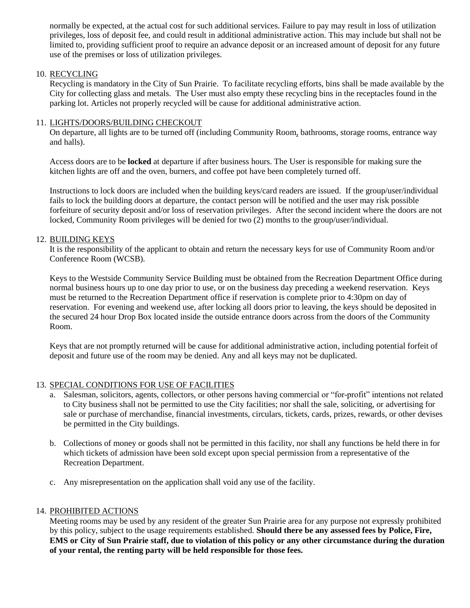normally be expected, at the actual cost for such additional services. Failure to pay may result in loss of utilization privileges, loss of deposit fee, and could result in additional administrative action. This may include but shall not be limited to, providing sufficient proof to require an advance deposit or an increased amount of deposit for any future use of the premises or loss of utilization privileges.

## 10. RECYCLING

Recycling is mandatory in the City of Sun Prairie. To facilitate recycling efforts, bins shall be made available by the City for collecting glass and metals. The User must also empty these recycling bins in the receptacles found in the parking lot. Articles not properly recycled will be cause for additional administrative action.

## 11. LIGHTS/DOORS/BUILDING CHECKOUT

On departure, all lights are to be turned off (including Community Room, bathrooms, storage rooms, entrance way and halls).

Access doors are to be **locked** at departure if after business hours. The User is responsible for making sure the kitchen lights are off and the oven, burners, and coffee pot have been completely turned off.

Instructions to lock doors are included when the building keys/card readers are issued. If the group/user/individual fails to lock the building doors at departure, the contact person will be notified and the user may risk possible forfeiture of security deposit and/or loss of reservation privileges. After the second incident where the doors are not locked, Community Room privileges will be denied for two (2) months to the group/user/individual.

## 12. BUILDING KEYS

It is the responsibility of the applicant to obtain and return the necessary keys for use of Community Room and/or Conference Room (WCSB).

Keys to the Westside Community Service Building must be obtained from the Recreation Department Office during normal business hours up to one day prior to use, or on the business day preceding a weekend reservation. Keys must be returned to the Recreation Department office if reservation is complete prior to 4:30pm on day of reservation. For evening and weekend use, after locking all doors prior to leaving, the keys should be deposited in the secured 24 hour Drop Box located inside the outside entrance doors across from the doors of the Community Room.

Keys that are not promptly returned will be cause for additional administrative action, including potential forfeit of deposit and future use of the room may be denied. Any and all keys may not be duplicated.

# 13. SPECIAL CONDITIONS FOR USE OF FACILITIES

- a. Salesman, solicitors, agents, collectors, or other persons having commercial or "for-profit" intentions not related to City business shall not be permitted to use the City facilities; nor shall the sale, soliciting, or advertising for sale or purchase of merchandise, financial investments, circulars, tickets, cards, prizes, rewards, or other devises be permitted in the City buildings.
- b. Collections of money or goods shall not be permitted in this facility, nor shall any functions be held there in for which tickets of admission have been sold except upon special permission from a representative of the Recreation Department.
- c. Any misrepresentation on the application shall void any use of the facility.

#### 14. PROHIBITED ACTIONS

Meeting rooms may be used by any resident of the greater Sun Prairie area for any purpose not expressly prohibited by this policy, subject to the usage requirements established. **Should there be any assessed fees by Police, Fire, EMS or City of Sun Prairie staff, due to violation of this policy or any other circumstance during the duration of your rental, the renting party will be held responsible for those fees.**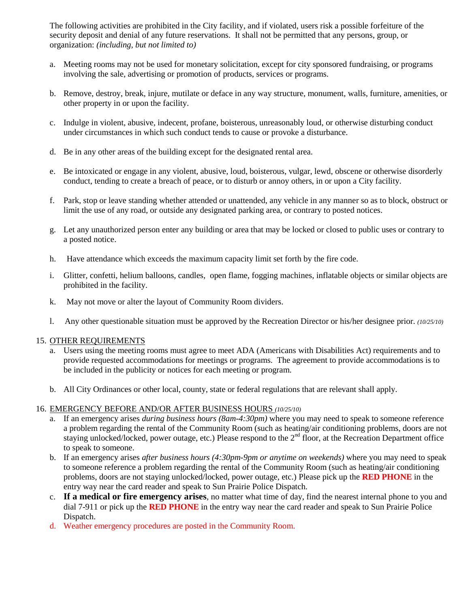The following activities are prohibited in the City facility, and if violated, users risk a possible forfeiture of the security deposit and denial of any future reservations. It shall not be permitted that any persons, group, or organization: *(including, but not limited to)*

- a. Meeting rooms may not be used for monetary solicitation, except for city sponsored fundraising, or programs involving the sale, advertising or promotion of products, services or programs.
- b. Remove, destroy, break, injure, mutilate or deface in any way structure, monument, walls, furniture, amenities, or other property in or upon the facility.
- c. Indulge in violent, abusive, indecent, profane, boisterous, unreasonably loud, or otherwise disturbing conduct under circumstances in which such conduct tends to cause or provoke a disturbance.
- d. Be in any other areas of the building except for the designated rental area.
- e. Be intoxicated or engage in any violent, abusive, loud, boisterous, vulgar, lewd, obscene or otherwise disorderly conduct, tending to create a breach of peace, or to disturb or annoy others, in or upon a City facility.
- f. Park, stop or leave standing whether attended or unattended, any vehicle in any manner so as to block, obstruct or limit the use of any road, or outside any designated parking area, or contrary to posted notices.
- g. Let any unauthorized person enter any building or area that may be locked or closed to public uses or contrary to a posted notice.
- h. Have attendance which exceeds the maximum capacity limit set forth by the fire code.
- i. Glitter, confetti, helium balloons, candles, open flame, fogging machines, inflatable objects or similar objects are prohibited in the facility.
- k. May not move or alter the layout of Community Room dividers.
- l. Any other questionable situation must be approved by the Recreation Director or his/her designee prior. *(10/25/10)*

#### 15. OTHER REQUIREMENTS

- a. Users using the meeting rooms must agree to meet ADA (Americans with Disabilities Act) requirements and to provide requested accommodations for meetings or programs. The agreement to provide accommodations is to be included in the publicity or notices for each meeting or program.
- b. All City Ordinances or other local, county, state or federal regulations that are relevant shall apply.

#### 16. EMERGENCY BEFORE AND/OR AFTER BUSINESS HOURS *(10/25/10)*

- a. If an emergency arises *during business hours (8am-4:30pm)* where you may need to speak to someone reference a problem regarding the rental of the Community Room (such as heating/air conditioning problems, doors are not staying unlocked/locked, power outage, etc.) Please respond to the 2<sup>nd</sup> floor, at the Recreation Department office to speak to someone.
- b. If an emergency arises *after business hours (4:30pm-9pm or anytime on weekends)* where you may need to speak to someone reference a problem regarding the rental of the Community Room (such as heating/air conditioning problems, doors are not staying unlocked/locked, power outage, etc.) Please pick up the **RED PHONE** in the entry way near the card reader and speak to Sun Prairie Police Dispatch.
- c. **If a medical or fire emergency arises**, no matter what time of day, find the nearest internal phone to you and dial 7-911 or pick up the **RED PHONE** in the entry way near the card reader and speak to Sun Prairie Police Dispatch.
- d. Weather emergency procedures are posted in the Community Room.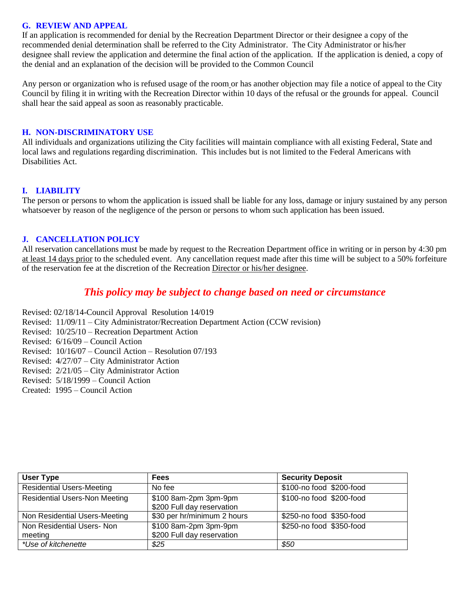### **G. REVIEW AND APPEAL**

If an application is recommended for denial by the Recreation Department Director or their designee a copy of the recommended denial determination shall be referred to the City Administrator. The City Administrator or his/her designee shall review the application and determine the final action of the application. If the application is denied, a copy of the denial and an explanation of the decision will be provided to the Common Council

Any person or organization who is refused usage of the room or has another objection may file a notice of appeal to the City Council by filing it in writing with the Recreation Director within 10 days of the refusal or the grounds for appeal. Council shall hear the said appeal as soon as reasonably practicable.

#### **H. NON-DISCRIMINATORY USE**

All individuals and organizations utilizing the City facilities will maintain compliance with all existing Federal, State and local laws and regulations regarding discrimination. This includes but is not limited to the Federal Americans with Disabilities Act.

## **I. LIABILITY**

The person or persons to whom the application is issued shall be liable for any loss, damage or injury sustained by any person whatsoever by reason of the negligence of the person or persons to whom such application has been issued.

#### **J. CANCELLATION POLICY**

All reservation cancellations must be made by request to the Recreation Department office in writing or in person by 4:30 pm at least 14 days prior to the scheduled event. Any cancellation request made after this time will be subject to a 50% forfeiture of the reservation fee at the discretion of the Recreation Director or his/her designee.

# *This policy may be subject to change based on need or circumstance*

- Revised: 02/18/14-Council Approval Resolution 14/019
- Revised: 11/09/11 City Administrator/Recreation Department Action (CCW revision)
- Revised: 10/25/10 Recreation Department Action
- Revised: 6/16/09 Council Action
- Revised: 10/16/07 Council Action Resolution 07/193
- Revised: 4/27/07 City Administrator Action
- Revised: 2/21/05 City Administrator Action
- Revised: 5/18/1999 Council Action
- Created: 1995 Council Action

| <b>User Type</b>                      | <b>Fees</b>                                         | <b>Security Deposit</b>  |
|---------------------------------------|-----------------------------------------------------|--------------------------|
| <b>Residential Users-Meeting</b>      | No fee                                              | \$100-no food \$200-food |
| <b>Residential Users-Non Meeting</b>  | \$100 8am-2pm 3pm-9pm<br>\$200 Full day reservation | \$100-no food \$200-food |
| Non Residential Users-Meeting         | \$30 per hr/minimum 2 hours                         | \$250-no food \$350-food |
| Non Residential Users- Non<br>meeting | \$100 8am-2pm 3pm-9pm<br>\$200 Full day reservation | \$250-no food \$350-food |
| *Use of kitchenette                   | \$25                                                | \$50                     |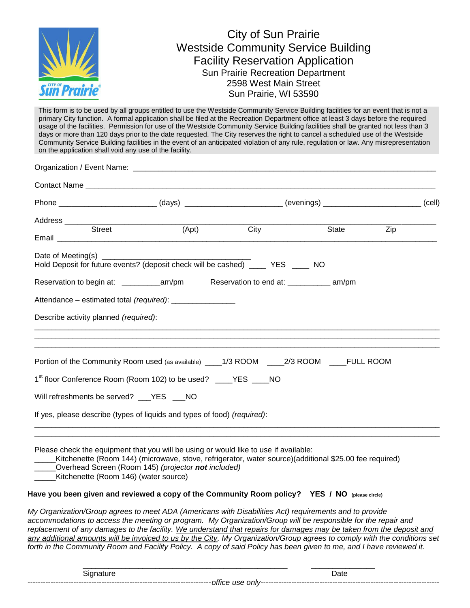

This form is to be used by all groups entitled to use the Westside Community Service Building facilities for an event that is not a primary City function. A formal application shall be filed at the Recreation Department office at least 3 days before the required usage of the facilities. Permission for use of the Westside Community Service Building facilities shall be granted not less than 3 days or more than 120 days prior to the date requested. The City reserves the right to cancel a scheduled use of the Westside Community Service Building facilities in the event of an anticipated violation of any rule, regulation or law. Any misrepresentation on the application shall void any use of the facility.

|                                           | Phone ___________________________(days) _______________________(evenings) _________________________(cell) |      |       |     |
|-------------------------------------------|-----------------------------------------------------------------------------------------------------------|------|-------|-----|
|                                           |                                                                                                           |      |       |     |
| Street                                    | (Apt)                                                                                                     | City | State | Zip |
|                                           | Hold Deposit for future events? (deposit check will be cashed) ____ YES ____ NO                           |      |       |     |
|                                           |                                                                                                           |      |       |     |
|                                           | Attendance – estimated total (required): ________________                                                 |      |       |     |
| Describe activity planned (required):     |                                                                                                           |      |       |     |
|                                           | Portion of the Community Room used (as available) _____1/3 ROOM _____2/3 ROOM _____FULL ROOM              |      |       |     |
|                                           | 1 <sup>st</sup> floor Conference Room (Room 102) to be used? ____YES ____NO                               |      |       |     |
| Will refreshments be served? ___YES ___NO |                                                                                                           |      |       |     |
|                                           | If yes, please describe (types of liquids and types of food) (required):                                  |      |       |     |
|                                           |                                                                                                           |      |       |     |

Please check the equipment that you will be using or would like to use if available:

\_\_\_\_\_Kitchenette (Room 144) (microwave, stove, refrigerator, water source)(additional \$25.00 fee required)

\_\_\_\_\_Overhead Screen (Room 145) *(projector not included)*

Kitchenette (Room 146) (water source)

**Have you been given and reviewed a copy of the Community Room policy? YES / NO (please circle)**

*My Organization/Group agrees to meet ADA (Americans with Disabilities Act) requirements and to provide accommodations to access the meeting or program. My Organization/Group will be responsible for the repair and replacement of any damages to the facility. We understand that repairs for damages may be taken from the deposit and any additional amounts will be invoiced to us by the City. My Organization/Group agrees to comply with the conditions set forth in the Community Room and Facility Policy. A copy of said Policy has been given to me, and I have reviewed it.*

\_\_\_\_\_\_\_\_\_\_\_\_\_\_\_\_\_\_\_\_\_\_\_\_\_\_\_\_\_\_\_\_\_\_\_\_\_\_\_\_\_\_\_\_\_\_\_\_ \_\_\_\_\_\_\_\_\_\_\_\_\_\_\_

Signature Date **Date** ------------------------------------------------------------------------*office use only*----------------------------------------------------------------------